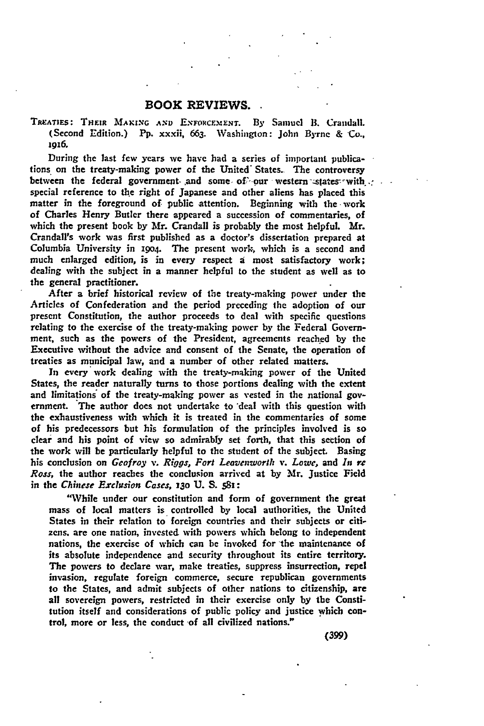## BOOK REVIEWS.

TREATIES: THEIR MAKING AND ENFORCEMENT. By Samuel B. Crandall. (Second Edition.) **Pp.** xxxii, 663. Washington: John Byrne & **Co.,** 19x6.

During the last few years we have had a series of important publications on the treaty-making power of the United' States- The controversy between the federal government and some, of our western states with... special reference to the right of Japanese and other aliens has placed this matter in the foreground of public attention. Beginning with the work of Charles Henry Butler there appeared a succession of commentaries, of which the present book **by** Mr. Crandall is probably the most helpful. Mr. Crandall's work was first published as a doctor's dissertation prepared at Columbia University in **i9o4.** The present work, which is a second and much enlarged edition, is in every respect a most satisfactory work; dealing with the subject in a manner helpful to the student as well as to the general practitioner.

After a brief historical review of the treaty-making power under the Articles of Confederation and the period preceding **the** adoption of our present Constitution, the author proceeds to deal with specific questions relating to the exercise of the treaty-making power **by** the Federal Government, such as the powers of the President, agreements reached **by** the Executive without the advice and consent of the Senate, the operation of treaties as municipal law, and a number of other related matters.

**In** every work dealing with the treaty-making power of the United States, the reader naturally turns to those portions dealing with the extent and limitations' of the treaty-making power as vested in the national government. The author does not undertake to 'deal with this question with the exhaustiveness with which it is treated in the commentaries of some of his predecessors but his formulation of the principles involved is so clear and his point of view so admirably set forth, that this section of the work will **be** particularly helpful to the student of the subject. Basing his conclusion on *Geofroy v. Riggs, Fort Leavenworth v. Lowe,* and *In* re *Ross,* the author reaches the conclusion arrived at **by** Mr. Justice Field in the *Chinese Exclusion Cases, 130* **U. S.** *SS:*

"While under our constitution and form of government the great mass of local matters is controlled by local authorities, the United States in their relation to foreign countries and their subjects or citizens. are one nation, invested with powers which belong to independent nations, the exercise of which can be invoked for the maintenance of its absolute independence and security throughout its entire territory. The powers to declare war, make treaties, suppress insurrection, repel invasion, regulate foreign commerce, secure republican governments to the States, and admit subjects of other nations to citizenship, are all sovereign powers, restricted in their exercise only **by** the Constitution itself and considerations of public policy and justice which control, more or less, the conduct of all civilized nations."

*(399)*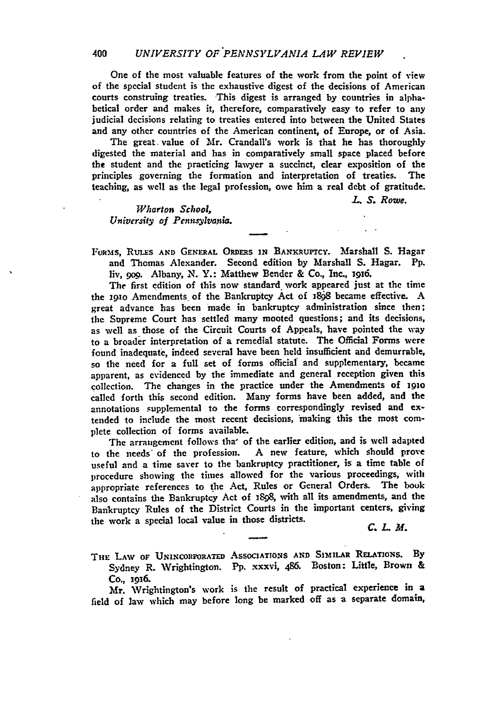One of the most valuable features of the work from the point of view of the special student is the exhaustive digest of the decisions of American courts construing treaties. This digest is arranged **by** countries in alphabetical order and makes it, therefore, comparatively easy to refer to any judicial decisions relating to treaties entered into between the United States and any other countries of the American continent, of Europe, or of Asia.

The great value of Mr. Crandall's work is that he has thoroughly digested the material and has in comparatively small space placed before the student and the practicing lawyer a succinct, clear exposition of the principles governing the formation and interpretation of treaties. The teaching, as well as the legal profession, owe him a real debt of gratitude.

*L. S. Rowe.*

*Wharton School, University of Pennsylvania.*

**FORss, RuLEs AND GENERAL** ORDERS **IN BANKRUPTCY.** Marshall **S.** Hagar and Thomas Alexander. Second edition **by** Marshall **S.** Hagar. **Pp.** liv, go0. Albany, N. Y.: Matthew Bender & Co., Inc., 1916.

The first edition of this now standard work appeared just at the time the igo Amendments of the Bankruptcy Act of i898 became effective. A great advance has been made in bankruptcy administration since then; the Supreme Court has settled many mooted questions; and its decisions, as well as those of the Circuit Courts of Appeals, have pointed the way to a broader interpretation of a remedial statute. The Official Forms were found inadequate, indeed several have been held insufficient and demurrable, so the need for a full set of forms official' and supplementary, became apparent, as evidenced **by** the immediate and general reception given this collection. The changes in the practice under the Amendments of **i9go** called forth this second edition. Many forms have been added, and the annotations supplemental to the forms correspondingly revised and **ex**tended to include the most recent decisions, 'making this the most complete collection of forms available.

The arraugement follows tha' of the earlier edition, and is well adapted<br>the needs of the profession. A new feature, which should prove to the needs of the profession. useful and a time saver to the bankruptcy practitioner, is a time table of procedure showing the times allowed for the various proceedings, with appropriate references to the Act, Rules or General Orders. The book also contains the Bankruptcy Act of 1898, with all its amendments, and the Bankruptcy Rules of the District Courts in the important centers, giving the work a special local value in those districts.  $C. L. M.$ 

THE LAW OF UNINCORPORATED ASSOCIATIONS AND SIMILAR RELATIONS. By Sydney R. Wrightington. **Pp.** xxxvi, 486. Boston: Little, Brown **&** Co., **i9x6.**

Mr. Wrightington's work is the result of practical experience in a field of law which may before long be marked off as a separate domain,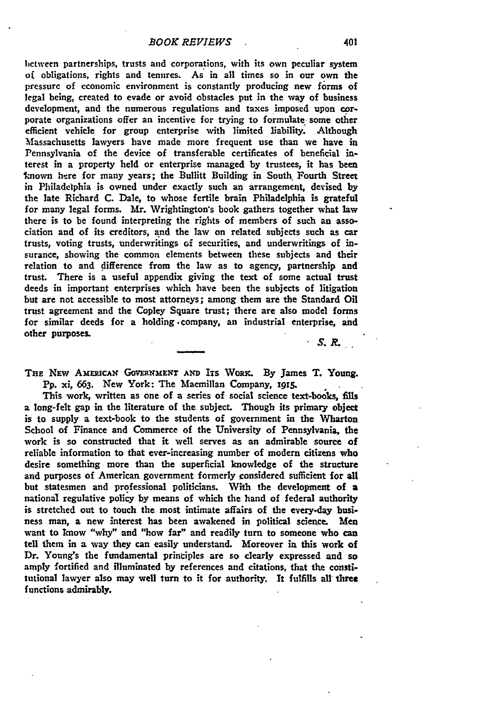hctween partnerships, trusts and corporations, with its own peculiar system o( obligations, rights and tenures. As in all times so in our own the pressure of economic environment is constantly producing new forms of legal being, created to evade or avoid obstacles put in the way of business development, and the numerous regulations and taxes imposed upon corporate organizations offer an incentive for trying to formulate some other efficient vehicle for group enterprise with limited liability. Although Massachusetts lawyers have made more frequent use than we have in Pennsylvania of the device of transferable certificates of beneficial interest in a property **held** or enterprise managed **by** trustees, it has been known here for many years; the Bullitt Building in South Fourth Street in Philadelphia is owned under exactly such an arrangement, devised **by** the late Richard **C.** Dale, to whose fertile brain Philadelphia is grateful for many legal forms. Mr. Wrightington's book gathers together what law there is to be found interpreting the rights of members of such an association and of its creditors, and the law on related subjects such as car trusts, voting trusts, underwritings of securities, and underwritings of insurance, showing the common elements between these subjects and their relation to and difference from the law as to agency, partnership and trust. There is a useful appendix giving the text of some actual trust deeds in important enterprises which have been the subjects of litigation but are not accessible to most attorneys; among them are the Standard Oil trust agreement and the Copley Square trust; there are also model forms for similar deeds for a holding .company, an industrial enterprise, and other **purposes.**

*S.R.*

THE NEW AMERICAN GOVERNMENT AND ITS WORK. By James T. Young. **Pp.** xi, **663.** New York: The Macmillan Company, **i9x5.**

This work, written as one of a series of social science text-books, fills a long-felt gap in the literature of the subject. Though its primary object is to supply a text-book to the students of government in the Wharton School of Finance and Commerce of the University of Pennsylvania, the work is so constructed that it well serves as an admirable source **of** reliable information to that ever-increasing number of modern citizens who desire something more than the superficial knowledge of the structure and purposes of American government formerly considered sufficient for **all** but statesmen and professional politicians. With the development of a national regulative policy **by** means of which the hand of federal authority is stretched out to touch the most intimate affairs of the every.day business man, a new interest has been awakened in political science. Men want to know "why" and "how far" and readily **turn** to someone who can tell them in a way they can easily understand. Moreover in this work of Dr. Young's the fundamental principles are so dearly expressed and so amply fortified and illuminated **by** references and citations, that the **consti**tutional lawyer also may well turn to it for authority. It fulfills all three functions admirably.